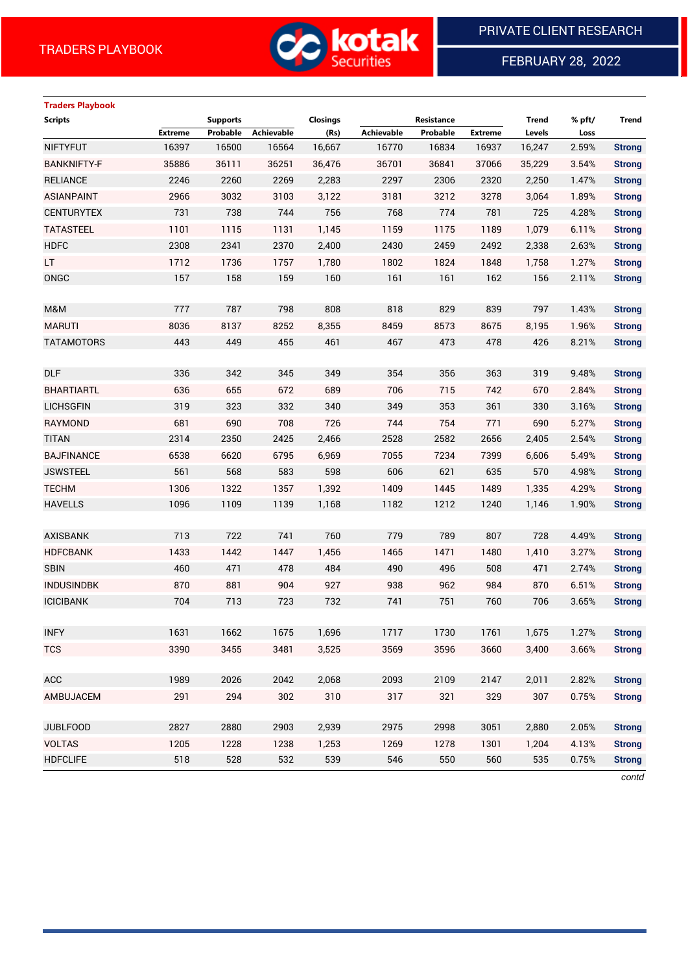

FEBRUARY 28, 2022

 $\overline{a}$ 

# **Traders Playbook**

| <b>Scripts</b>     |                | <b>Supports</b> |            | Closings |                   | Resistance |                | <b>Trend</b> | % pft/ | <b>Trend</b>  |
|--------------------|----------------|-----------------|------------|----------|-------------------|------------|----------------|--------------|--------|---------------|
|                    | <b>Extreme</b> | Probable        | Achievable | (Rs)     | <b>Achievable</b> | Probable   | <b>Extreme</b> | Levels       | Loss   |               |
| <b>NIFTYFUT</b>    | 16397          | 16500           | 16564      | 16,667   | 16770             | 16834      | 16937          | 16,247       | 2.59%  | <b>Strong</b> |
| <b>BANKNIFTY-F</b> | 35886          | 36111           | 36251      | 36,476   | 36701             | 36841      | 37066          | 35,229       | 3.54%  | <b>Strong</b> |
| <b>RELIANCE</b>    | 2246           | 2260            | 2269       | 2,283    | 2297              | 2306       | 2320           | 2,250        | 1.47%  | <b>Strong</b> |
| <b>ASIANPAINT</b>  | 2966           | 3032            | 3103       | 3,122    | 3181              | 3212       | 3278           | 3,064        | 1.89%  | <b>Strong</b> |
| <b>CENTURYTEX</b>  | 731            | 738             | 744        | 756      | 768               | 774        | 781            | 725          | 4.28%  | <b>Strong</b> |
| <b>TATASTEEL</b>   | 1101           | 1115            | 1131       | 1,145    | 1159              | 1175       | 1189           | 1,079        | 6.11%  | <b>Strong</b> |
| <b>HDFC</b>        | 2308           | 2341            | 2370       | 2,400    | 2430              | 2459       | 2492           | 2,338        | 2.63%  | <b>Strong</b> |
| LT.                | 1712           | 1736            | 1757       | 1,780    | 1802              | 1824       | 1848           | 1,758        | 1.27%  | <b>Strong</b> |
| ONGC               | 157            | 158             | 159        | 160      | 161               | 161        | 162            | 156          | 2.11%  | <b>Strong</b> |
|                    |                |                 |            |          |                   |            |                |              |        |               |
| M&M                | 777            | 787             | 798        | 808      | 818               | 829        | 839            | 797          | 1.43%  | <b>Strong</b> |
| <b>MARUTI</b>      | 8036           | 8137            | 8252       | 8,355    | 8459              | 8573       | 8675           | 8,195        | 1.96%  | <b>Strong</b> |
| <b>TATAMOTORS</b>  | 443            | 449             | 455        | 461      | 467               | 473        | 478            | 426          | 8.21%  | <b>Strong</b> |
|                    |                |                 |            |          |                   |            |                |              |        |               |
| <b>DLF</b>         | 336            | 342             | 345        | 349      | 354               | 356        | 363            | 319          | 9.48%  | <b>Strong</b> |
| <b>BHARTIARTL</b>  | 636            | 655             | 672        | 689      | 706               | 715        | 742            | 670          | 2.84%  | <b>Strong</b> |
| <b>LICHSGFIN</b>   | 319            | 323             | 332        | 340      | 349               | 353        | 361            | 330          | 3.16%  | <b>Strong</b> |
| <b>RAYMOND</b>     | 681            | 690             | 708        | 726      | 744               | 754        | 771            | 690          | 5.27%  | <b>Strong</b> |
| <b>TITAN</b>       | 2314           | 2350            | 2425       | 2,466    | 2528              | 2582       | 2656           | 2,405        | 2.54%  | <b>Strong</b> |
| <b>BAJFINANCE</b>  | 6538           | 6620            | 6795       | 6,969    | 7055              | 7234       | 7399           | 6,606        | 5.49%  | <b>Strong</b> |
| <b>JSWSTEEL</b>    | 561            | 568             | 583        | 598      | 606               | 621        | 635            | 570          | 4.98%  | <b>Strong</b> |
| <b>TECHM</b>       | 1306           | 1322            | 1357       | 1,392    | 1409              | 1445       | 1489           | 1,335        | 4.29%  | <b>Strong</b> |
| <b>HAVELLS</b>     | 1096           | 1109            | 1139       | 1,168    | 1182              | 1212       | 1240           | 1,146        | 1.90%  | <b>Strong</b> |
|                    |                |                 |            |          |                   |            |                |              |        |               |
| <b>AXISBANK</b>    | 713            | 722             | 741        | 760      | 779               | 789        | 807            | 728          | 4.49%  | <b>Strong</b> |
| <b>HDFCBANK</b>    | 1433           | 1442            | 1447       | 1,456    | 1465              | 1471       | 1480           | 1,410        | 3.27%  | <b>Strong</b> |
| <b>SBIN</b>        | 460            | 471             | 478        | 484      | 490               | 496        | 508            | 471          | 2.74%  | <b>Strong</b> |
| <b>INDUSINDBK</b>  | 870            | 881             | 904        | 927      | 938               | 962        | 984            | 870          | 6.51%  | <b>Strong</b> |
| <b>ICICIBANK</b>   | 704            | 713             | 723        | 732      | 741               | 751        | 760            | 706          | 3.65%  | <b>Strong</b> |
|                    |                |                 |            |          |                   |            |                |              |        |               |
| <b>INFY</b>        | 1631           | 1662            | 1675       | 1,696    | 1717              | 1730       | 1761           | 1,675        | 1.27%  | <b>Strong</b> |
| <b>TCS</b>         | 3390           | 3455            | 3481       | 3,525    | 3569              | 3596       | 3660           | 3,400        | 3.66%  | <b>Strong</b> |
|                    |                |                 |            |          |                   |            |                |              |        |               |
| ACC                | 1989           | 2026            | 2042       | 2,068    | 2093              | 2109       | 2147           | 2,011        | 2.82%  | <b>Strong</b> |
| AMBUJACEM          | 291            | 294             | 302        | 310      | 317               | 321        | 329            | 307          | 0.75%  | <b>Strong</b> |
|                    |                |                 |            |          |                   |            |                |              |        |               |
| <b>JUBLFOOD</b>    | 2827           | 2880            | 2903       | 2,939    | 2975              | 2998       | 3051           | 2,880        | 2.05%  | <b>Strong</b> |
| <b>VOLTAS</b>      | 1205           | 1228            | 1238       | 1,253    | 1269              | 1278       | 1301           | 1,204        | 4.13%  | <b>Strong</b> |
| <b>HDFCLIFE</b>    | 518            | 528             | 532        | 539      | 546               | 550        | 560            | 535          | 0.75%  | <b>Strong</b> |
|                    |                |                 |            |          |                   |            |                |              |        |               |

*contd*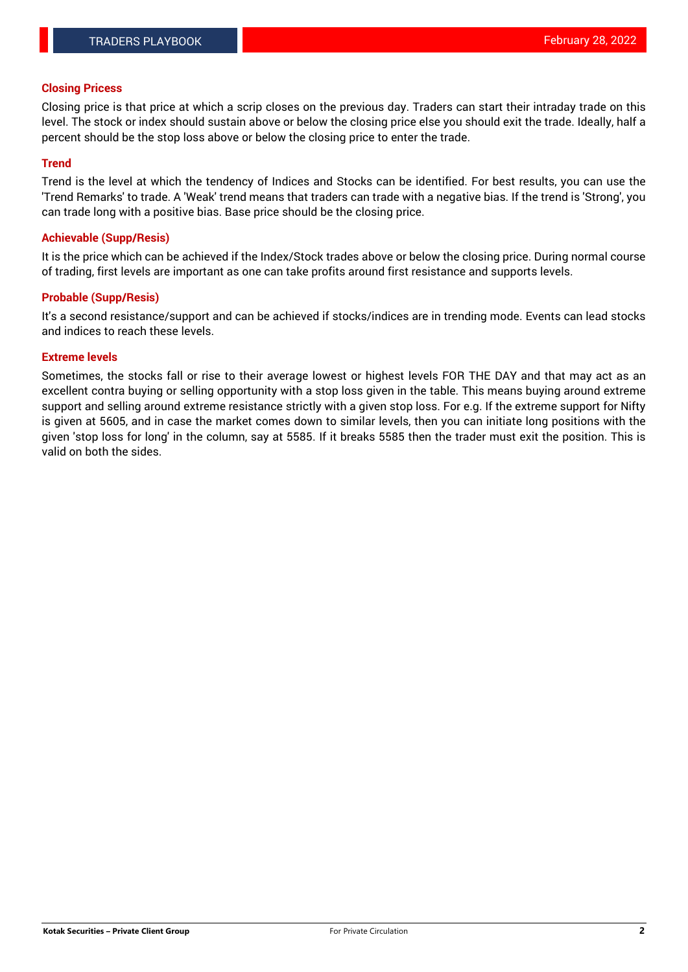#### **Closing Pricess**

Closing price is that price at which a scrip closes on the previous day. Traders can start their intraday trade on this level. The stock or index should sustain above or below the closing price else you should exit the trade. Ideally, half a percent should be the stop loss above or below the closing price to enter the trade.

## **Trend**

Trend is the level at which the tendency of Indices and Stocks can be identified. For best results, you can use the 'Trend Remarks' to trade. A 'Weak' trend means that traders can trade with a negative bias. If the trend is 'Strong', you can trade long with a positive bias. Base price should be the closing price.

#### **Achievable (Supp/Resis)**

It is the price which can be achieved if the Index/Stock trades above or below the closing price. During normal course of trading, first levels are important as one can take profits around first resistance and supports levels.

## **Probable (Supp/Resis)**

It's a second resistance/support and can be achieved if stocks/indices are in trending mode. Events can lead stocks and indices to reach these levels.

#### **Extreme levels**

Sometimes, the stocks fall or rise to their average lowest or highest levels FOR THE DAY and that may act as an excellent contra buying or selling opportunity with a stop loss given in the table. This means buying around extreme support and selling around extreme resistance strictly with a given stop loss. For e.g. If the extreme support for Nifty is given at 5605, and in case the market comes down to similar levels, then you can initiate long positions with the given 'stop loss for long' in the column, say at 5585. If it breaks 5585 then the trader must exit the position. This is valid on both the sides.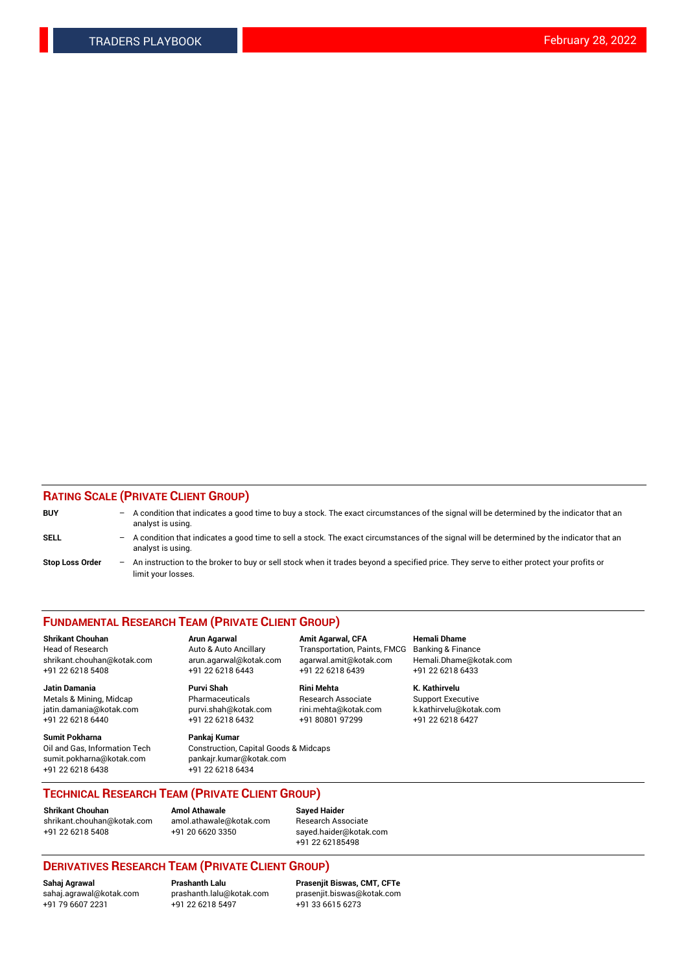## **RATING SCALE (PRIVATE CLIENT GROUP)**

| <b>BUY</b>             | $-$ | A condition that indicates a good time to buy a stock. The exact circumstances of the signal will be determined by the indicator that an<br>analyst is using.  |
|------------------------|-----|----------------------------------------------------------------------------------------------------------------------------------------------------------------|
| <b>SELL</b>            | $-$ | A condition that indicates a good time to sell a stock. The exact circumstances of the signal will be determined by the indicator that an<br>analyst is using. |
| <b>Stop Loss Order</b> | $-$ | An instruction to the broker to buy or sell stock when it trades beyond a specified price. They serve to either protect your profits or<br>limit your losses.  |

#### **FUNDAMENTAL RESEARCH TEAM (PRIVATE CLIENT GROUP)**

**Jatin Damania Purvi Shah Rini Mehta K. Kathirvelu** Metals & Mining, Midcap **Pharmaceuticals** Research Associate Support Executive jatin.damania@kotak.com [purvi.shah@kotak.com](mailto:purvi.shah@kotak.com) rini.mehta@kotak.com [k.kathirvelu@kotak.com](mailto:k.kathirvelu@kotak.com)  $+91$  22 6218 6440  $+91$  22 6218 6432

**Sumit Pokharna Pankaj Kumar** sumit.pokharna@kotak.com pankajr.kumar@kotak.com +91 22 6218 6438 +91 22 6218 6434

**Shrikant Chouhan Arun Agarwal Amit Agarwal, CFA Hemali Dhame**

Oil and Gas, Information Tech Construction, Capital Goods & Midcaps

Head of Research Auto & Auto Ancillary Transportation, Paints, FMCG Banking & Finance shrikant.chouhan@kotak.com arun.agarwal@kotak.com agarwal.amit@kotak.com Hemali.Dhame@kotak.com +91 22 6218 5408 +91 22 6218 6443 +91 22 6218 6439 +91 22 6218 6433

**TECHNICAL RESEARCH TEAM (PRIVATE CLIENT GROUP) Shrikant Chouhan Amol Athawale Sayed Haider**

[shrikant.chouhan@kotak.com](mailto:shrikant.chouhan@kotak.com) [amol.athawale@kotak.com](mailto:amol.athawale@kotak.com) Research Associate +91 22 6218 5408 +91 20 6620 3350 [sayed.haider@kotak.com](mailto:sayed.haider@kotak.com)

+91 22 62185498

# **DERIVATIVES RESEARCH TEAM (PRIVATE CLIENT GROUP)**

 $+91$  22 6218 5497

**Sahaj Agrawal Prashanth Lalu Prasenjit Biswas, CMT, CFTe** [sahaj.agrawal@kotak.com](mailto:sahaj.agrawal@kotak.com) [prashanth.lalu@kotak.com](mailto:prashanth.lalu@kotak.com) [prasenjit.biswas@kotak.com](mailto:prasenjit.biswas@kotak.com)